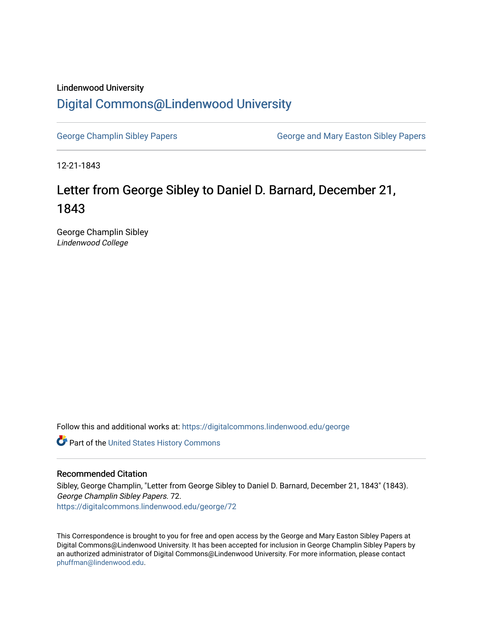## Lindenwood University [Digital Commons@Lindenwood University](https://digitalcommons.lindenwood.edu/)

[George Champlin Sibley Papers](https://digitalcommons.lindenwood.edu/george) George and Mary Easton Sibley Papers

12-21-1843

## Letter from George Sibley to Daniel D. Barnard, December 21, 1843

George Champlin Sibley Lindenwood College

Follow this and additional works at: [https://digitalcommons.lindenwood.edu/george](https://digitalcommons.lindenwood.edu/george?utm_source=digitalcommons.lindenwood.edu%2Fgeorge%2F72&utm_medium=PDF&utm_campaign=PDFCoverPages)

Part of the [United States History Commons](http://network.bepress.com/hgg/discipline/495?utm_source=digitalcommons.lindenwood.edu%2Fgeorge%2F72&utm_medium=PDF&utm_campaign=PDFCoverPages) 

## Recommended Citation

Sibley, George Champlin, "Letter from George Sibley to Daniel D. Barnard, December 21, 1843" (1843). George Champlin Sibley Papers. 72. [https://digitalcommons.lindenwood.edu/george/72](https://digitalcommons.lindenwood.edu/george/72?utm_source=digitalcommons.lindenwood.edu%2Fgeorge%2F72&utm_medium=PDF&utm_campaign=PDFCoverPages) 

This Correspondence is brought to you for free and open access by the George and Mary Easton Sibley Papers at Digital Commons@Lindenwood University. It has been accepted for inclusion in George Champlin Sibley Papers by an authorized administrator of Digital Commons@Lindenwood University. For more information, please contact [phuffman@lindenwood.edu](mailto:phuffman@lindenwood.edu).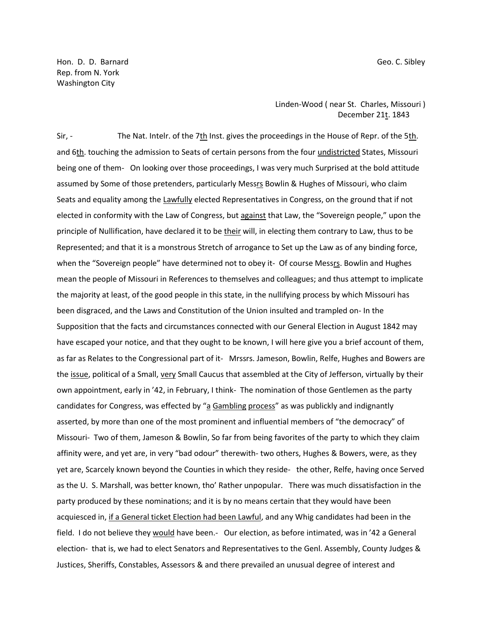Hon. D. D. Barnard Geo. C. Sibley Rep. from N. York Washington City

> Linden-Wood ( near St. Charles, Missouri ) December 21t. 1843

Sir, - The Nat. Intelr. of the 7th Inst. gives the proceedings in the House of Repr. of the 5th. and 6th. touching the admission to Seats of certain persons from the four undistricted States, Missouri being one of them- On looking over those proceedings, I was very much Surprised at the bold attitude assumed by Some of those pretenders, particularly Messrs Bowlin & Hughes of Missouri, who claim Seats and equality among the Lawfully elected Representatives in Congress, on the ground that if not elected in conformity with the Law of Congress, but against that Law, the "Sovereign people," upon the principle of Nullification, have declared it to be their will, in electing them contrary to Law, thus to be Represented; and that it is a monstrous Stretch of arrogance to Set up the Law as of any binding force, when the "Sovereign people" have determined not to obey it- Of course Messrs. Bowlin and Hughes mean the people of Missouri in References to themselves and colleagues; and thus attempt to implicate the majority at least, of the good people in this state, in the nullifying process by which Missouri has been disgraced, and the Laws and Constitution of the Union insulted and trampled on- In the Supposition that the facts and circumstances connected with our General Election in August 1842 may have escaped your notice, and that they ought to be known, I will here give you a brief account of them, as far as Relates to the Congressional part of it- Mrssrs. Jameson, Bowlin, Relfe, Hughes and Bowers are the issue, political of a Small, very Small Caucus that assembled at the City of Jefferson, virtually by their own appointment, early in '42, in February, I think- The nomination of those Gentlemen as the party candidates for Congress, was effected by "a Gambling process" as was publickly and indignantly asserted, by more than one of the most prominent and influential members of "the democracy" of Missouri- Two of them, Jameson & Bowlin, So far from being favorites of the party to which they claim affinity were, and yet are, in very "bad odour" therewith- two others, Hughes & Bowers, were, as they yet are, Scarcely known beyond the Counties in which they reside- the other, Relfe, having once Served as the U. S. Marshall, was better known, tho' Rather unpopular. There was much dissatisfaction in the party produced by these nominations; and it is by no means certain that they would have been acquiesced in, if a General ticket Election had been Lawful, and any Whig candidates had been in the field. I do not believe they would have been.- Our election, as before intimated, was in '42 a General election- that is, we had to elect Senators and Representatives to the Genl. Assembly, County Judges & Justices, Sheriffs, Constables, Assessors & and there prevailed an unusual degree of interest and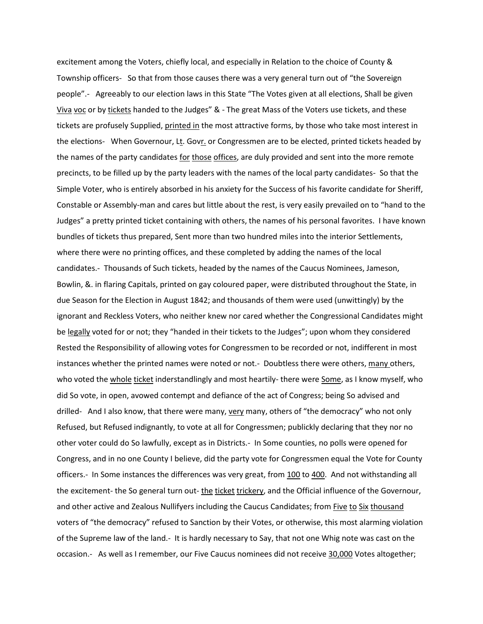excitement among the Voters, chiefly local, and especially in Relation to the choice of County & Township officers- So that from those causes there was a very general turn out of "the Sovereign people".- Agreeably to our election laws in this State "The Votes given at all elections, Shall be given Viva voc or by tickets handed to the Judges" & - The great Mass of the Voters use tickets, and these tickets are profusely Supplied, printed in the most attractive forms, by those who take most interest in the elections- When Governour, Lt. Govr. or Congressmen are to be elected, printed tickets headed by the names of the party candidates for those offices, are duly provided and sent into the more remote precincts, to be filled up by the party leaders with the names of the local party candidates- So that the Simple Voter, who is entirely absorbed in his anxiety for the Success of his favorite candidate for Sheriff, Constable or Assembly-man and cares but little about the rest, is very easily prevailed on to "hand to the Judges" a pretty printed ticket containing with others, the names of his personal favorites. I have known bundles of tickets thus prepared, Sent more than two hundred miles into the interior Settlements, where there were no printing offices, and these completed by adding the names of the local candidates.- Thousands of Such tickets, headed by the names of the Caucus Nominees, Jameson, Bowlin, &. in flaring Capitals, printed on gay coloured paper, were distributed throughout the State, in due Season for the Election in August 1842; and thousands of them were used (unwittingly) by the ignorant and Reckless Voters, who neither knew nor cared whether the Congressional Candidates might be legally voted for or not; they "handed in their tickets to the Judges"; upon whom they considered Rested the Responsibility of allowing votes for Congressmen to be recorded or not, indifferent in most instances whether the printed names were noted or not.- Doubtless there were others, many others, who voted the whole ticket inderstandlingly and most heartily- there were Some, as I know myself, who did So vote, in open, avowed contempt and defiance of the act of Congress; being So advised and drilled- And I also know, that there were many, very many, others of "the democracy" who not only Refused, but Refused indignantly, to vote at all for Congressmen; publickly declaring that they nor no other voter could do So lawfully, except as in Districts.- In Some counties, no polls were opened for Congress, and in no one County I believe, did the party vote for Congressmen equal the Vote for County officers.- In Some instances the differences was very great, from 100 to 400. And not withstanding all the excitement- the So general turn out- the ticket trickery, and the Official influence of the Governour, and other active and Zealous Nullifyers including the Caucus Candidates; from Five to Six thousand voters of "the democracy" refused to Sanction by their Votes, or otherwise, this most alarming violation of the Supreme law of the land.- It is hardly necessary to Say, that not one Whig note was cast on the occasion.- As well as I remember, our Five Caucus nominees did not receive 30,000 Votes altogether;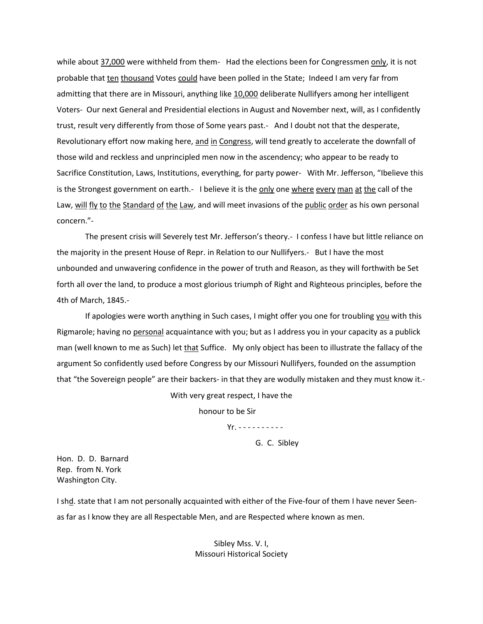while about 37,000 were withheld from them- Had the elections been for Congressmen only, it is not probable that ten thousand Votes could have been polled in the State; Indeed I am very far from admitting that there are in Missouri, anything like 10,000 deliberate Nullifyers among her intelligent Voters- Our next General and Presidential elections in August and November next, will, as I confidently trust, result very differently from those of Some years past.- And I doubt not that the desperate, Revolutionary effort now making here, and in Congress, will tend greatly to accelerate the downfall of those wild and reckless and unprincipled men now in the ascendency; who appear to be ready to Sacrifice Constitution, Laws, Institutions, everything, for party power- With Mr. Jefferson, "Ibelieve this is the Strongest government on earth.- I believe it is the only one where every man at the call of the Law, will fly to the Standard of the Law, and will meet invasions of the public order as his own personal concern."-

The present crisis will Severely test Mr. Jefferson's theory.- I confess I have but little reliance on the majority in the present House of Repr. in Relation to our Nullifyers.- But I have the most unbounded and unwavering confidence in the power of truth and Reason, as they will forthwith be Set forth all over the land, to produce a most glorious triumph of Right and Righteous principles, before the 4th of March, 1845.-

If apologies were worth anything in Such cases, I might offer you one for troubling you with this Rigmarole; having no personal acquaintance with you; but as I address you in your capacity as a publick man (well known to me as Such) let that Suffice. My only object has been to illustrate the fallacy of the argument So confidently used before Congress by our Missouri Nullifyers, founded on the assumption that "the Sovereign people" are their backers- in that they are wodully mistaken and they must know it.-

With very great respect, I have the

honour to be Sir

Yr. - - - - - - - - - -

G. C. Sibley

Hon. D. D. Barnard Rep. from N. York Washington City.

I shd. state that I am not personally acquainted with either of the Five-four of them I have never Seenas far as I know they are all Respectable Men, and are Respected where known as men.

> Sibley Mss. V. I, Missouri Historical Society